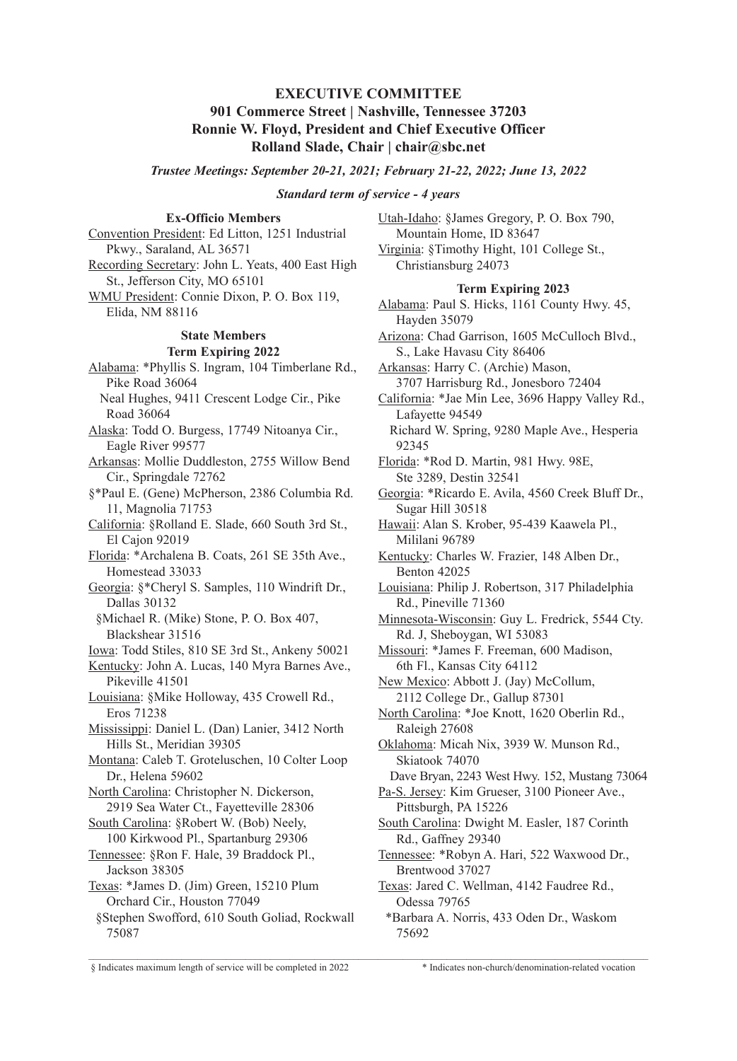# **EXECUTIVE COMMITTEE**

# **901 Commerce Street | Nashville, Tennessee 37203 Ronnie W. Floyd, President and Chief Executive Officer Rolland Slade, Chair | chair@sbc.net**

*Trustee Meetings: September 20-21, 2021; February 21-22, 2022; June 13, 2022*

### *Standard term of service - 4 years*

# **Ex-Officio Members**

Convention President: Ed Litton, 1251 Industrial Pkwy., Saraland, AL 36571 Recording Secretary: John L. Yeats, 400 East High St., Jefferson City, MO 65101 WMU President: Connie Dixon, P. O. Box 119, Elida, NM 88116 **State Members Term Expiring 2022** Alabama: \*Phyllis S. Ingram, 104 Timberlane Rd., Pike Road 36064 Neal Hughes, 9411 Crescent Lodge Cir., Pike Road 36064 Alaska: Todd O. Burgess, 17749 Nitoanya Cir., Eagle River 99577 Arkansas: Mollie Duddleston, 2755 Willow Bend Cir., Springdale 72762 §\*Paul E. (Gene) McPherson, 2386 Columbia Rd. 11, Magnolia 71753 California: §Rolland E. Slade, 660 South 3rd St., El Cajon 92019 Florida: \*Archalena B. Coats, 261 SE 35th Ave., Homestead 33033 Georgia: §\*Cheryl S. Samples, 110 Windrift Dr., Dallas 30132 §Michael R. (Mike) Stone, P. O. Box 407, Blackshear 31516 Iowa: Todd Stiles, 810 SE 3rd St., Ankeny 50021 Kentucky: John A. Lucas, 140 Myra Barnes Ave., Pikeville 41501 Louisiana: §Mike Holloway, 435 Crowell Rd., Eros 71238 Mississippi: Daniel L. (Dan) Lanier, 3412 North Hills St., Meridian 39305 Montana: Caleb T. Groteluschen, 10 Colter Loop Dr., Helena 59602 North Carolina: Christopher N. Dickerson, 2919 Sea Water Ct., Fayetteville 28306 South Carolina: §Robert W. (Bob) Neely, 100 Kirkwood Pl., Spartanburg 29306 Tennessee: §Ron F. Hale, 39 Braddock Pl., Jackson 38305 Texas: \*James D. (Jim) Green, 15210 Plum Orchard Cir., Houston 77049 §Stephen Swofford, 610 South Goliad, Rockwall 75087  $\mathcal{L}_\mathcal{L} = \mathcal{L}_\mathcal{L} = \mathcal{L}_\mathcal{L} = \mathcal{L}_\mathcal{L} = \mathcal{L}_\mathcal{L} = \mathcal{L}_\mathcal{L} = \mathcal{L}_\mathcal{L} = \mathcal{L}_\mathcal{L} = \mathcal{L}_\mathcal{L} = \mathcal{L}_\mathcal{L} = \mathcal{L}_\mathcal{L} = \mathcal{L}_\mathcal{L} = \mathcal{L}_\mathcal{L} = \mathcal{L}_\mathcal{L} = \mathcal{L}_\mathcal{L} = \mathcal{L}_\mathcal{L} = \mathcal{L}_\mathcal{L}$ 

Utah-Idaho: §James Gregory, P. O. Box 790, Mountain Home, ID 83647 Virginia: §Timothy Hight, 101 College St., Christiansburg 24073

#### **Term Expiring 2023**

Alabama: Paul S. Hicks, 1161 County Hwy. 45, Hayden 35079

Arizona: Chad Garrison, 1605 McCulloch Blvd., S., Lake Havasu City 86406

Arkansas: Harry C. (Archie) Mason, 3707 Harrisburg Rd., Jonesboro 72404

California: \*Jae Min Lee, 3696 Happy Valley Rd., Lafayette 94549 Richard W. Spring, 9280 Maple Ave., Hesperia

92345

Florida: \*Rod D. Martin, 981 Hwy. 98E, Ste 3289, Destin 32541

Georgia: \*Ricardo E. Avila, 4560 Creek Bluff Dr., Sugar Hill 30518

Hawaii: Alan S. Krober, 95-439 Kaawela Pl., Mililani 96789

Kentucky: Charles W. Frazier, 148 Alben Dr., Benton 42025

Louisiana: Philip J. Robertson, 317 Philadelphia Rd., Pineville 71360

Minnesota-Wisconsin: Guy L. Fredrick, 5544 Cty. Rd. J, Sheboygan, WI 53083

Missouri: \*James F. Freeman, 600 Madison, 6th Fl., Kansas City 64112

New Mexico: Abbott J. (Jay) McCollum, 2112 College Dr., Gallup 87301

North Carolina: \*Joe Knott, 1620 Oberlin Rd., Raleigh 27608

Oklahoma: Micah Nix, 3939 W. Munson Rd., Skiatook 74070

Dave Bryan, 2243 West Hwy. 152, Mustang 73064

Pa-S. Jersey: Kim Grueser, 3100 Pioneer Ave., Pittsburgh, PA 15226

South Carolina: Dwight M. Easler, 187 Corinth Rd., Gaffney 29340

Tennessee: \*Robyn A. Hari, 522 Waxwood Dr., Brentwood 37027

Texas: Jared C. Wellman, 4142 Faudree Rd., Odessa 79765

\*Barbara A. Norris, 433 Oden Dr., Waskom 75692

§ Indicates maximum length of service will be completed in 2022 \* Indicates non-church/denomination-related vocation